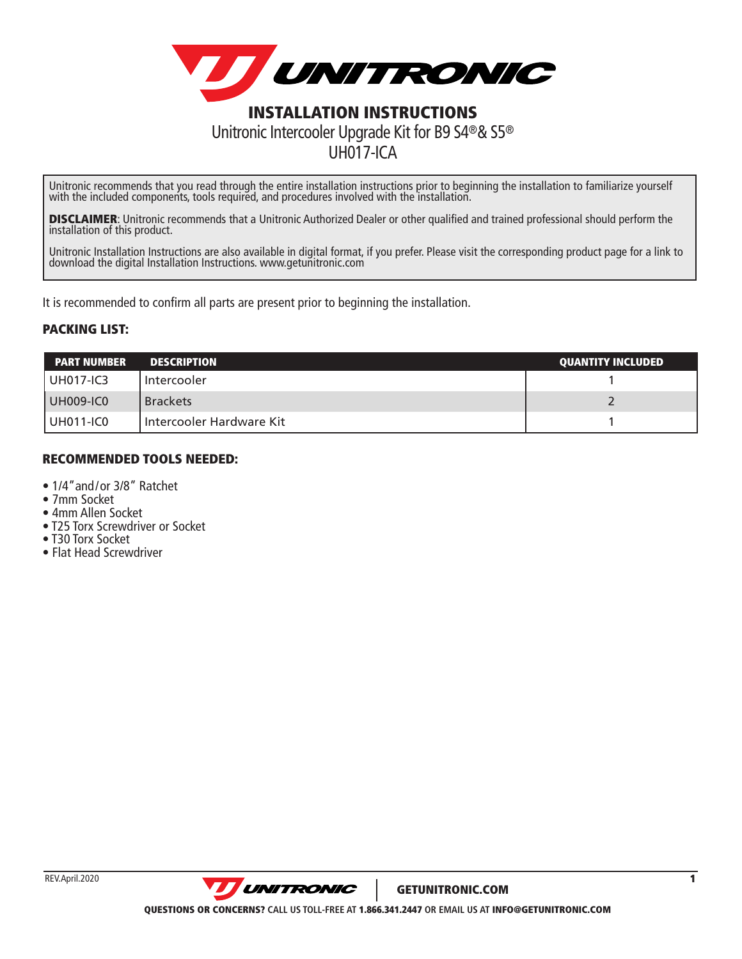

Unitronic recommends that you read through the entire installation instructions prior to beginning the installation to familiarize yourself with the included components, tools required, and procedures involved with the installation.

UH017-ICA

**DISCLAIMER:** Unitronic recommends that a Unitronic Authorized Dealer or other qualified and trained professional should perform the installation of this product.

Unitronic Installation Instructions are also available in digital format, if you prefer. Please visit the corresponding product page for a link to download the digital Installation Instructions. www.getunitronic.com

It is recommended to confirm all parts are present prior to beginning the installation.

## PACKING LIST:

| <b>PART NUMBER</b> | <b>DESCRIPTION</b>       | <b>QUANTITY INCLUDED</b> |
|--------------------|--------------------------|--------------------------|
| l UH017-IC3        | Intercooler              |                          |
| UH009-IC0          | <b>Brackets</b>          |                          |
| l UH011-IC0        | Intercooler Hardware Kit |                          |

## RECOMMENDED TOOLS NEEDED:

- 1/4"and/or 3/8" Ratchet
- 7mm Socket
- 4mm Allen Socket
- T25 Torx Screwdriver or Socket
- T30 Torx Socket
- Flat Head Screwdriver

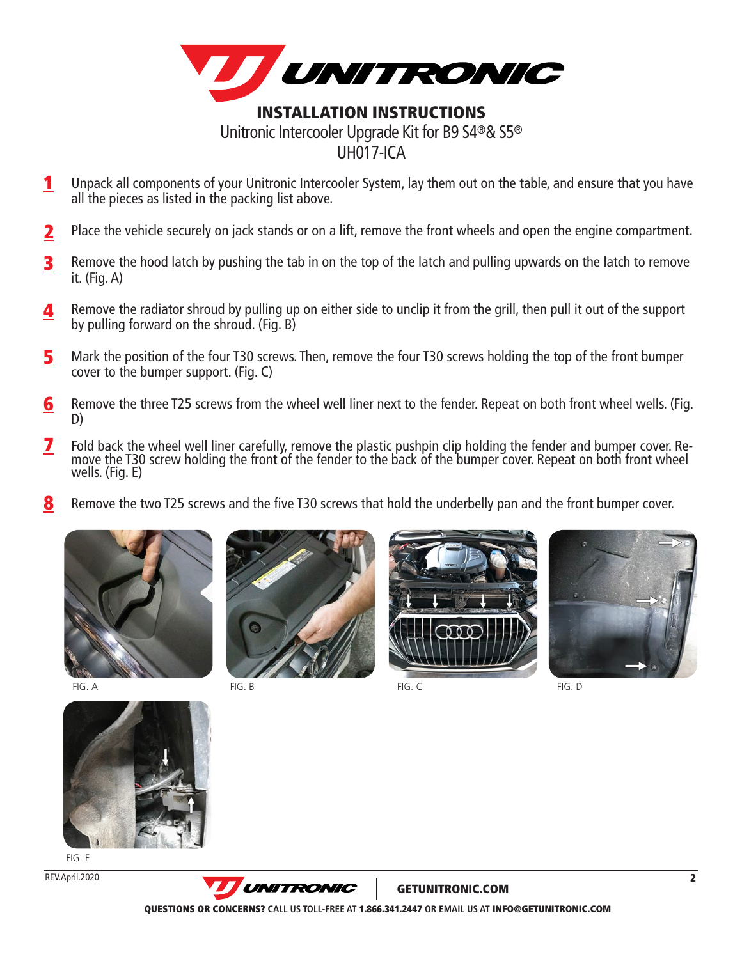

- Unpack all components of your Unitronic Intercooler System, lay them out on the table, and ensure that you have all the pieces as listed in the packing list above. 1
- Place the vehicle securely on jack stands or on a lift, remove the front wheels and open the engine compartment. 2
- Remove the hood latch by pushing the tab in on the top of the latch and pulling upwards on the latch to remove it. (Fig. A) 3
- Remove the radiator shroud by pulling up on either side to unclip it from the grill, then pull it out of the support by pulling forward on the shroud. (Fig. B) 4
- Mark the position of the four T30 screws. Then, remove the four T30 screws holding the top of the front bumper cover to the bumper support. (Fig. C) 5
- Remove the three T25 screws from the wheel well liner next to the fender. Repeat on both front wheel wells. (Fig. D) 6
- Fold back the wheel well liner carefully, remove the plastic pushpin clip holding the fender and bumper cover. Remove the T30 screw holding the front of the fender to the back of the bumper cover. Repeat on both front whee wells. (Fig. E) 7
- Remove the two T25 screws and the five T30 screws that hold the underbelly pan and the front bumper cover. 8





FIG. B FIG. C FIG. A FIG. D FIG. B FIG. D FIG. C FIG. D FIG. D FIG. D FIG. D







FIG. E

REV.April.2020



GETUNITRONIC.COM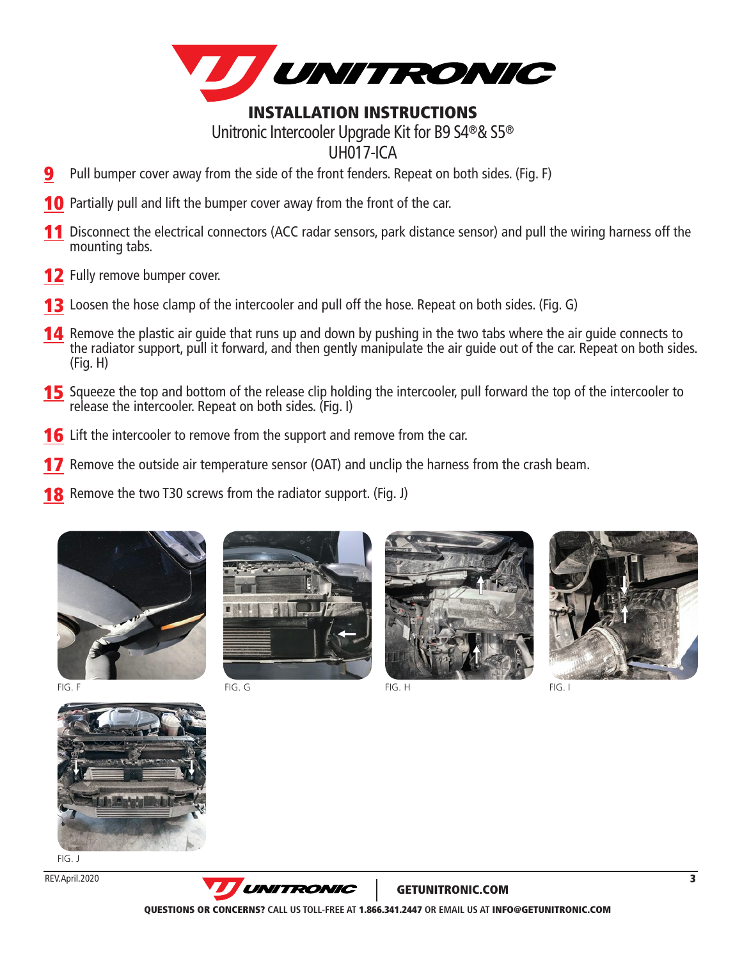

## INSTALLATION INSTRUCTIONS Unitronic Intercooler Upgrade Kit for B9 S4®& S5® UH017-ICA

- Pull bumper cover away from the side of the front fenders. Repeat on both sides. (Fig. F) 9
- **10** Partially pull and lift the bumper cover away from the front of the car.
- 11 Disconnect the electrical connectors (ACC radar sensors, park distance sensor) and pull the wiring harness off the mounting tabs.
- 12 Fully remove bumper cover.
- **13** Loosen the hose clamp of the intercooler and pull off the hose. Repeat on both sides. (Fig. G)
- **14** Remove the plastic air guide that runs up and down by pushing in the two tabs where the air guide connects to the radiator support, pull it forward, and then gently manipulate the air guide out of the car. Repeat on both sides. (Fig. H)
- **15** Squeeze the top and bottom of the release clip holding the intercooler, pull forward the top of the intercooler to release the intercooler. Repeat on both sides. (Fig. I)
- **16** Lift the intercooler to remove from the support and remove from the car.
- **17** Remove the outside air temperature sensor (OAT) and unclip the harness from the crash beam.
- **18** Remove the two T30 screws from the radiator support. (Fig. J)







GETUNITRONIC.COM

FIG. I



FIG. J

REV.April.2020



QUESTIONS OR CONCERNS? **CALL US TOLL-FREE AT** 1.866.341.2447 **OR EMAIL US AT** INFO@GETUNITRONIC.COM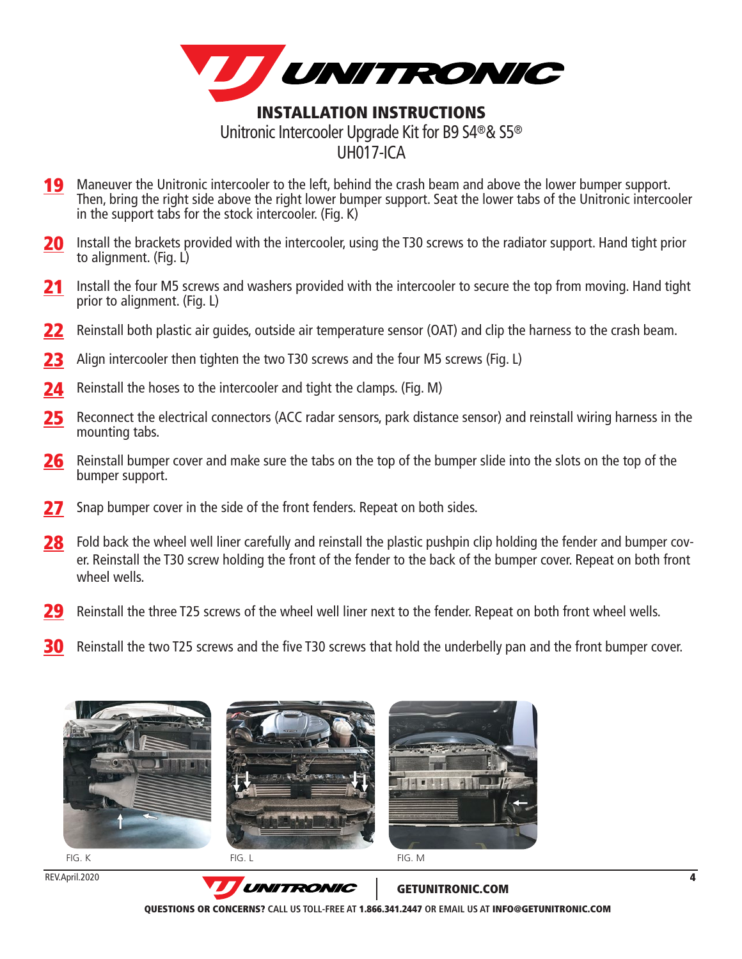

- 19 Maneuver the Unitronic intercooler to the left, behind the crash beam and above the lower bumper support. Then, bring the right side above the right lower bumper support. Seat the lower tabs of the Unitronic intercooler in the support tabs for the stock intercooler. (Fig. K)
- **20** Install the brackets provided with the intercooler, using the T30 screws to the radiator support. Hand tight prior to alignment. (Fig. L)
- 21 Install the four M5 screws and washers provided with the intercooler to secure the top from moving. Hand tight prior to alignment. (Fig. L)
- 22 Reinstall both plastic air guides, outside air temperature sensor (OAT) and clip the harness to the crash beam.
- 23 Align intercooler then tighten the two T30 screws and the four M5 screws (Fig. L)
- 24 Reinstall the hoses to the intercooler and tight the clamps. (Fig. M)
- 25 Reconnect the electrical connectors (ACC radar sensors, park distance sensor) and reinstall wiring harness in the mounting tabs.
- 26 Reinstall bumper cover and make sure the tabs on the top of the bumper slide into the slots on the top of the bumper support.
- 27 Snap bumper cover in the side of the front fenders. Repeat on both sides.
- 28 Fold back the wheel well liner carefully and reinstall the plastic pushpin clip holding the fender and bumper cover. Reinstall the T30 screw holding the front of the fender to the back of the bumper cover. Repeat on both front wheel wells.
- 29 Reinstall the three T25 screws of the wheel well liner next to the fender. Repeat on both front wheel wells.
- 30 Reinstall the two T25 screws and the five T30 screws that hold the underbelly pan and the front bumper cover.





REV.April.2020

GETUNITRONIC.COM

QUESTIONS OR CONCERNS? **CALL US TOLL-FREE AT** 1.866.341.2447 **OR EMAIL US AT** INFO@GETUNITRONIC.COM